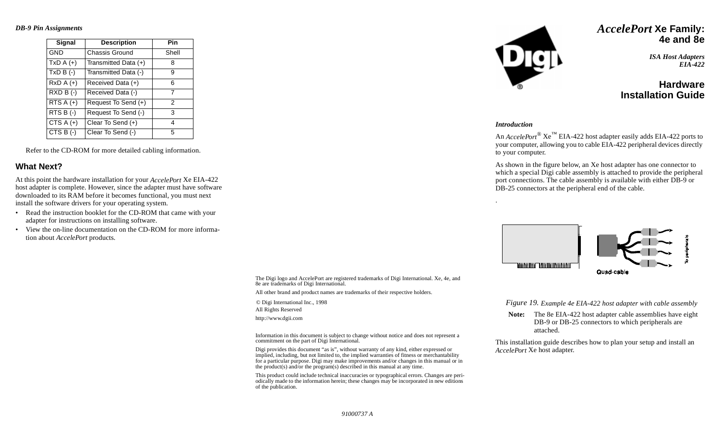#### *DB-9 Pin Assignments*

| Signal                | <b>Description</b>    | Pin           |
|-----------------------|-----------------------|---------------|
| <b>GND</b>            | <b>Chassis Ground</b> | Shell         |
| $TxD A (+)$           | Transmitted Data (+)  | 8             |
| $TxD B (-)$           | Transmitted Data (-)  | 9             |
| $RxD A (+)$           | Received Data (+)     | 6             |
| $RXD B (-)$           | Received Data (-)     | 7             |
| RTS $A (+)$           | Request To Send (+)   | $\mathcal{P}$ |
| $RTS B$ (-)           | Request To Send (-)   | 3             |
| $\overline{CTS}A (+)$ | Clear To Send $(+)$   | 4             |
| CTS $B(-)$            | Clear To Send (-)     | 5             |

Refer to the CD-ROM for more detailed cabling information.

### **What Next?**

At this point the hardware installation for your *AccelePort* Xe EIA-422 host adapter is complete. However, since the adapter must have software downloaded to its RAM before it becomes functional, you must next install the software drivers for your operating system.

- Read the instruction booklet for the CD-ROM that came with your adapter for instructions on installing software.
- View the on-line documentation on the CD-ROM for more information about *AccelePort* products.



## *AccelePort* **Xe Family: 4e and 8e**

*ISA Host Adapters EIA-422*

# **HardwareInstallation Guide**

#### *Introduction*

An *AccelePort*® Xe™ EIA-422 host adapter easily adds EIA-422 ports to your computer, allowing you to cable EIA-422 peripheral devices directly to your computer.

As shown in the figure below, an Xe host adapter has one connector to which a special Digi cable assembly is attached to provide the peripheral port connections. The cable assembly is available with either DB-9 or DB-25 connectors at the peripheral end of the cable.



The Digi logo and AccelePort are registered trademarks of Digi International. Xe, 4e, and 8e are trademarks of Digi International.

All other brand and product names are trademarks of their respective holders.

© Digi International Inc., 1998 All Rights Reserved

http://www.dgii.com

Information in this document is subject to change without notice and does not represent a commitment on the part of Digi International.

Digi provides this document "as is", without warranty of any kind, either expressed or implied, including, but not limited to, the implied warranties of fitness or merchantability<br>for a particular purpose. Digi may make improvements and/or changes in this manual or in<br>the product(s) and/or the program(s) des

This product could include technical inaccuracies or typographical errors. Changes are periodically made to the information herein; these changes may be incorporated in new editions of the publication.

*Figure 19. Example 4e EIA-422 host adapter with cable assembly*

**Note:** The 8e EIA-422 host adapter cable assemblies have eight DB-9 or DB-25 connectors to which peripherals are attached.

This installation guide describes how to plan your setup and install an *AccelePort* Xe host adapter.